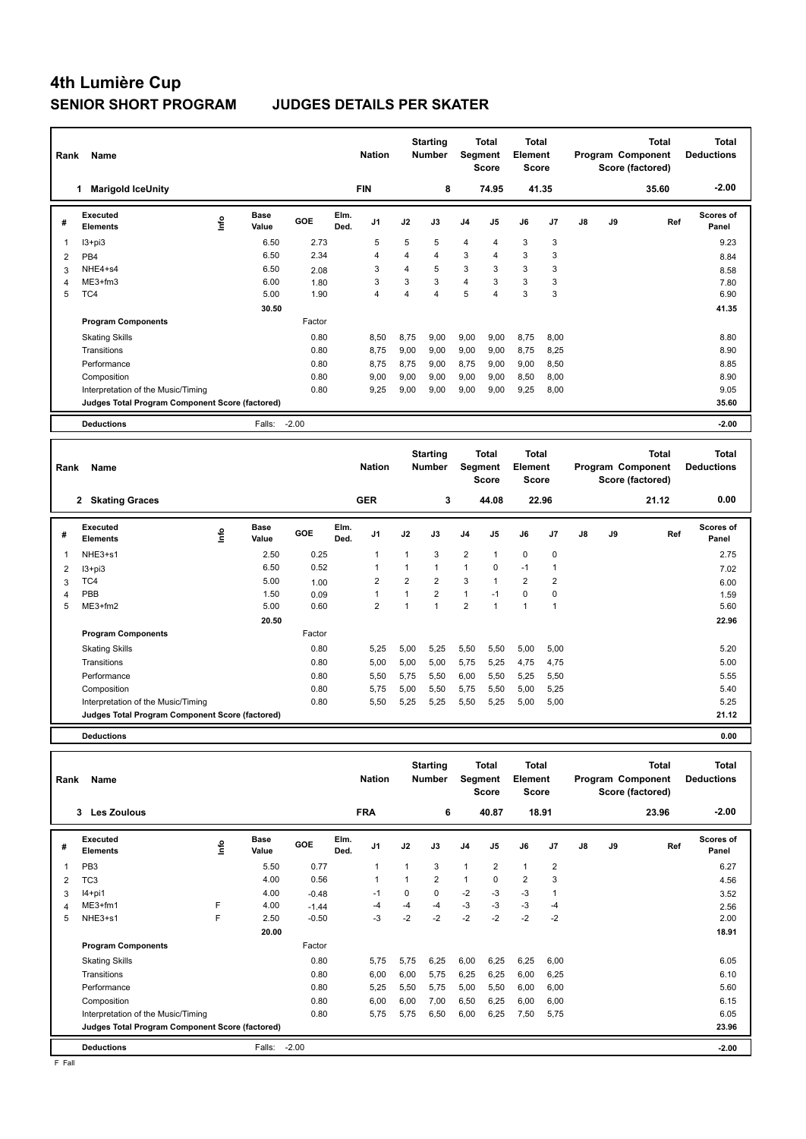# **4th Lumière Cup**

### **SENIOR SHORT PROGRAM JUDGES DETAILS PER SKATER**

| Rank | Name                                            |       |                      |        |              | <b>Nation</b>  |                | <b>Starting</b><br><b>Number</b> |                | <b>Total</b><br><b>Seament</b><br><b>Score</b> | <b>Total</b><br>Element<br>Score        |                |               |    | <b>Total</b><br>Program Component<br>Score (factored) | <b>Total</b><br><b>Deductions</b> |
|------|-------------------------------------------------|-------|----------------------|--------|--------------|----------------|----------------|----------------------------------|----------------|------------------------------------------------|-----------------------------------------|----------------|---------------|----|-------------------------------------------------------|-----------------------------------|
|      | <b>Marigold IceUnity</b><br>1                   |       |                      |        |              | <b>FIN</b>     |                | 8                                |                | 74.95                                          |                                         | 41.35          |               |    | 35.60                                                 | $-2.00$                           |
| #    | <b>Executed</b><br><b>Elements</b>              | Linfo | <b>Base</b><br>Value | GOE    | Elm.<br>Ded. | J <sub>1</sub> | J2             | J3                               | J <sub>4</sub> | J <sub>5</sub>                                 | J6                                      | J <sub>7</sub> | $\mathsf{J}8$ | J9 | Ref                                                   | <b>Scores of</b><br>Panel         |
| 1    | $13 + pi3$                                      |       | 6.50                 | 2.73   |              | 5              | 5              | 5                                | 4              | $\overline{4}$                                 | 3                                       | 3              |               |    |                                                       | 9.23                              |
| 2    | PB <sub>4</sub>                                 |       | 6.50                 | 2.34   |              | 4              | 4              | 4                                | 3              | 4                                              | 3                                       | 3              |               |    |                                                       | 8.84                              |
| 3    | NHE4+s4                                         |       | 6.50                 | 2.08   |              | 3              | $\overline{4}$ | 5                                | 3              | 3                                              | 3                                       | 3              |               |    |                                                       | 8.58                              |
| 4    | $ME3+fm3$                                       |       | 6.00                 | 1.80   |              | 3              | 3              | 3                                | 4              | 3                                              | 3                                       | 3              |               |    |                                                       | 7.80                              |
| 5    | TC4                                             |       | 5.00                 | 1.90   |              | 4              | 4              | $\overline{4}$                   | 5              | $\overline{4}$                                 | 3                                       | 3              |               |    |                                                       | 6.90                              |
|      |                                                 |       | 30.50                |        |              |                |                |                                  |                |                                                |                                         |                |               |    |                                                       | 41.35                             |
|      | <b>Program Components</b>                       |       |                      | Factor |              |                |                |                                  |                |                                                |                                         |                |               |    |                                                       |                                   |
|      | <b>Skating Skills</b>                           |       |                      | 0.80   |              | 8.50           | 8.75           | 9.00                             | 9,00           | 9,00                                           | 8.75                                    | 8.00           |               |    |                                                       | 8.80                              |
|      | Transitions                                     |       |                      | 0.80   |              | 8.75           | 9,00           | 9,00                             | 9,00           | 9,00                                           | 8,75                                    | 8,25           |               |    |                                                       | 8.90                              |
|      | Performance                                     |       |                      | 0.80   |              | 8.75           | 8,75           | 9,00                             | 8,75           | 9,00                                           | 9,00                                    | 8,50           |               |    |                                                       | 8.85                              |
|      | Composition                                     |       |                      | 0.80   |              | 9,00           | 9,00           | 9,00                             | 9,00           | 9,00                                           | 8,50                                    | 8,00           |               |    |                                                       | 8.90                              |
|      | Interpretation of the Music/Timing              |       |                      | 0.80   |              | 9,25           | 9,00           | 9,00                             | 9,00           | 9,00                                           | 9,25                                    | 8,00           |               |    |                                                       | 9.05                              |
|      | Judges Total Program Component Score (factored) |       |                      |        |              |                |                |                                  |                |                                                |                                         |                |               |    |                                                       | 35.60                             |
|      | <b>Deductions</b>                               |       | Falls: -2.00         |        |              |                |                |                                  |                |                                                |                                         |                |               |    |                                                       | $-2.00$                           |
| Rank | Name                                            |       |                      |        |              | <b>Nation</b>  |                | <b>Starting</b><br><b>Number</b> |                | Total<br>Segment<br><b>Score</b>               | <b>Total</b><br>Element<br><b>Score</b> |                |               |    | <b>Total</b><br>Program Component<br>Score (factored) | <b>Total</b><br><b>Deductions</b> |
|      | 2 Skating Graces                                |       |                      |        |              | <b>GER</b>     |                | 3                                |                | 44.08                                          |                                         | 22.96          |               |    | 21.12                                                 | 0.00                              |
| #    | Executed<br><b>Elements</b>                     | ١m    | Base<br>Value        | GOE    | Elm.<br>Ded. | J <sub>1</sub> | J2             | J3                               | J <sub>4</sub> | J5                                             | J6                                      | J7             | $\mathsf{J}8$ | J9 | Ref                                                   | <b>Scores of</b><br>Panel         |

 I3+pi3 6.50 0.52 1 1 1 1 0 -1 1 7.02 TC4 5.00 1.00 2 2 2 3 1 2 2 6.00 PBB 1.50 0.09 1 1 2 1 -1 0 0 1.59 ME3+fm2 5.00 0.60 2 1 1 2 1 1 1 5.60

Skating Skills 5,25 5,00 5,25 5,50 5,50 5,00 5,00 0.80 5.20

Transitions 0.80 5,00 5,00 5,00 5,75 5,25 4,75 4,75 5.00 Performance 0.80 5,50 5,75 5,50 6,00 5,50 5,25 5,50 5.55 Composition 0.80 5,75 5,00 5,50 5,75 5,50 5,00 5,25 5.40 Interpretation of the Music/Timing 0.80 5,50 5,25 5,25 5,50 5,25 5,00 5,00 5.25

**Judges Total Program Component Score (factored) 21.12**

 **20.50 22.96**

2.75

1 2.50 0.25 1 1 3 2 1 0 0

Factor

**Deductions 0.00**

NHE3+s1

**Program Components** 

| Rank | Name                                            |    |                      | <b>Nation</b> |              | <b>Starting</b><br><b>Number</b> | Segment | <b>Total</b><br><b>Score</b> | Total<br>Element<br><b>Score</b> |                |                |                | <b>Total</b><br>Program Component<br>Score (factored) | <b>Total</b><br><b>Deductions</b> |       |                           |
|------|-------------------------------------------------|----|----------------------|---------------|--------------|----------------------------------|---------|------------------------------|----------------------------------|----------------|----------------|----------------|-------------------------------------------------------|-----------------------------------|-------|---------------------------|
|      | <b>Les Zoulous</b><br>3                         |    |                      |               |              | <b>FRA</b>                       |         | 6                            |                                  | 40.87          |                | 18.91          |                                                       |                                   | 23.96 | $-2.00$                   |
| #    | Executed<br><b>Elements</b>                     | ۴ů | <b>Base</b><br>Value | GOE           | Elm.<br>Ded. | J <sub>1</sub>                   | J2      | J3                           | J <sub>4</sub>                   | J5             | J6             | J <sub>7</sub> | J8                                                    | J9                                | Ref   | <b>Scores of</b><br>Panel |
| 1    | PB <sub>3</sub>                                 |    | 5.50                 | 0.77          |              | $\mathbf{1}$                     | 1       | 3                            | 1                                | $\overline{2}$ | $\mathbf{1}$   | $\overline{2}$ |                                                       |                                   |       | 6.27                      |
| 2    | TC <sub>3</sub>                                 |    | 4.00                 | 0.56          |              | 1                                | 1       | $\overline{2}$               | 1                                | $\Omega$       | $\overline{2}$ | 3              |                                                       |                                   |       | 4.56                      |
| 3    | $I4+pi1$                                        |    | 4.00                 | $-0.48$       |              | $-1$                             | 0       | $\mathbf 0$                  | $-2$                             | $-3$           | $-3$           | 1              |                                                       |                                   |       | 3.52                      |
| 4    | $ME3+fm1$                                       | F  | 4.00                 | $-1.44$       |              | $-4$                             | -4      | $-4$                         | $-3$                             | -3             | $-3$           | $-4$           |                                                       |                                   |       | 2.56                      |
| 5    | NHE3+s1                                         | F  | 2.50                 | $-0.50$       |              | $-3$                             | $-2$    | $-2$                         | $-2$                             | $-2$           | $-2$           | $-2$           |                                                       |                                   |       | 2.00                      |
|      |                                                 |    | 20.00                |               |              |                                  |         |                              |                                  |                |                |                |                                                       |                                   |       | 18.91                     |
|      | <b>Program Components</b>                       |    |                      | Factor        |              |                                  |         |                              |                                  |                |                |                |                                                       |                                   |       |                           |
|      | <b>Skating Skills</b>                           |    |                      | 0.80          |              | 5.75                             | 5,75    | 6,25                         | 6,00                             | 6,25           | 6,25           | 6,00           |                                                       |                                   |       | 6.05                      |
|      | Transitions                                     |    |                      | 0.80          |              | 6,00                             | 6,00    | 5.75                         | 6,25                             | 6,25           | 6,00           | 6,25           |                                                       |                                   |       | 6.10                      |
|      | Performance                                     |    |                      | 0.80          |              | 5.25                             | 5,50    | 5,75                         | 5,00                             | 5,50           | 6,00           | 6,00           |                                                       |                                   |       | 5.60                      |
|      | Composition                                     |    |                      | 0.80          |              | 6,00                             | 6,00    | 7,00                         | 6,50                             | 6,25           | 6,00           | 6,00           |                                                       |                                   |       | 6.15                      |
|      | Interpretation of the Music/Timing              |    |                      | 0.80          |              | 5,75                             | 5,75    | 6,50                         | 6,00                             | 6,25           | 7,50           | 5,75           |                                                       |                                   |       | 6.05                      |
|      | Judges Total Program Component Score (factored) |    |                      |               |              |                                  |         |                              |                                  |                |                |                |                                                       |                                   |       | 23.96                     |
|      | <b>Deductions</b>                               |    | Falls:               | $-2.00$       |              |                                  |         |                              |                                  |                |                |                |                                                       |                                   |       | $-2.00$                   |

F Fall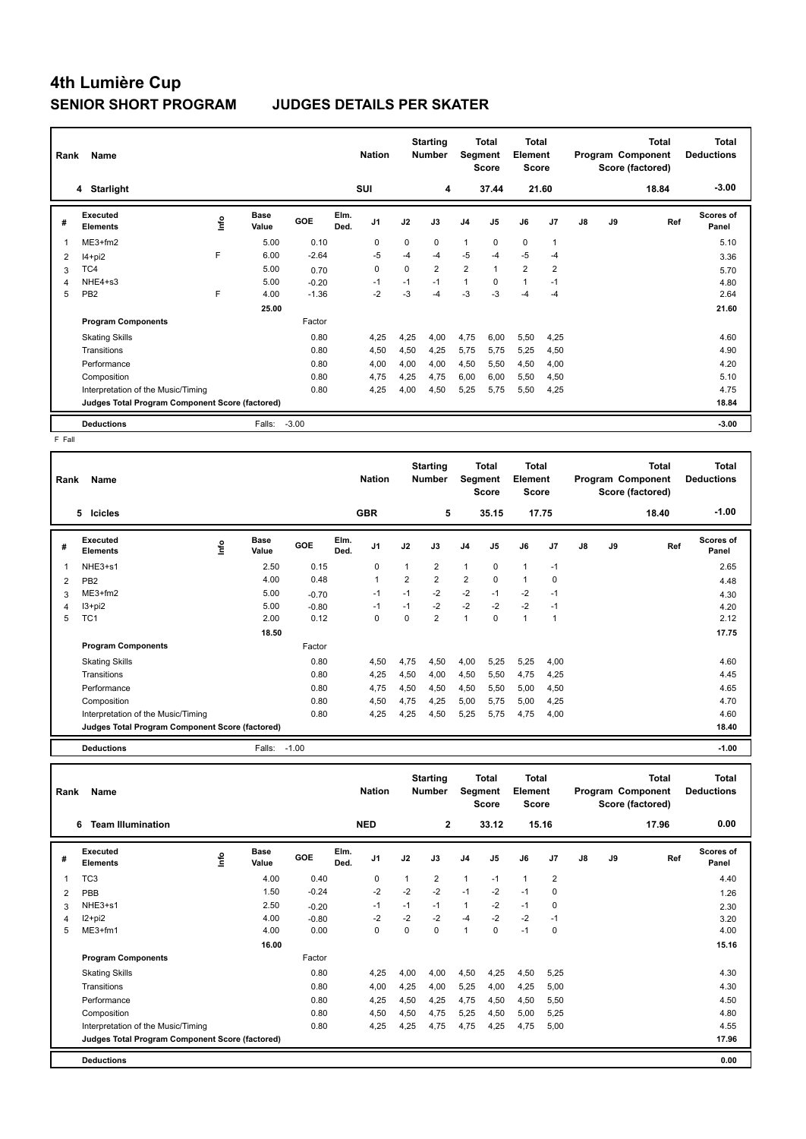## **4th Lumière Cup SENIOR SHORT PROGRAM JUDGES DETAILS PER SKATER**

| Rank           | Name                                            |      |                      | <b>Nation</b> |              | <b>Starting</b><br><b>Number</b> | <b>Segment</b> | Total<br>Score | <b>Total</b><br>Element<br>Score |                |                |                | <b>Total</b><br>Program Component<br>Score (factored) | <b>Total</b><br><b>Deductions</b> |       |                           |
|----------------|-------------------------------------------------|------|----------------------|---------------|--------------|----------------------------------|----------------|----------------|----------------------------------|----------------|----------------|----------------|-------------------------------------------------------|-----------------------------------|-------|---------------------------|
|                | 4 Starlight                                     |      |                      |               |              | <b>SUI</b>                       |                | 4              |                                  | 37.44          |                | 21.60          |                                                       |                                   | 18.84 | $-3.00$                   |
| #              | Executed<br><b>Elements</b>                     | ١nf٥ | <b>Base</b><br>Value | GOE           | Elm.<br>Ded. | J <sub>1</sub>                   | J2             | J3             | J <sub>4</sub>                   | J <sub>5</sub> | J6             | J7             | $\mathsf{J}8$                                         | J9                                | Ref   | <b>Scores of</b><br>Panel |
|                | ME3+fm2                                         |      | 5.00                 | 0.10          |              | 0                                | 0              | 0              | $\mathbf{1}$                     | $\mathbf 0$    | $\mathbf 0$    | $\mathbf{1}$   |                                                       |                                   |       | 5.10                      |
| $\overline{2}$ | $I4 + pi2$                                      | F    | 6.00                 | $-2.64$       |              | $-5$                             | $-4$           | $-4$           | $-5$                             | -4             | $-5$           | $-4$           |                                                       |                                   |       | 3.36                      |
| 3              | TC4                                             |      | 5.00                 | 0.70          |              | 0                                | $\Omega$       | $\overline{2}$ | $\overline{2}$                   | 1              | $\overline{2}$ | $\overline{2}$ |                                                       |                                   |       | 5.70                      |
| 4              | NHE4+s3                                         |      | 5.00                 | $-0.20$       |              | $-1$                             | $-1$           | $-1$           | 1                                | 0              | $\overline{1}$ | $-1$           |                                                       |                                   |       | 4.80                      |
| 5              | PB <sub>2</sub>                                 | F    | 4.00                 | $-1.36$       |              | $-2$                             | -3             | -4             | -3                               | -3             | $-4$           | $-4$           |                                                       |                                   |       | 2.64                      |
|                |                                                 |      | 25.00                |               |              |                                  |                |                |                                  |                |                |                |                                                       |                                   |       | 21.60                     |
|                | <b>Program Components</b>                       |      |                      | Factor        |              |                                  |                |                |                                  |                |                |                |                                                       |                                   |       |                           |
|                | <b>Skating Skills</b>                           |      |                      | 0.80          |              | 4,25                             | 4,25           | 4,00           | 4,75                             | 6,00           | 5,50           | 4,25           |                                                       |                                   |       | 4.60                      |
|                | Transitions                                     |      |                      | 0.80          |              | 4,50                             | 4,50           | 4,25           | 5,75                             | 5,75           | 5,25           | 4,50           |                                                       |                                   |       | 4.90                      |
|                | Performance                                     |      |                      | 0.80          |              | 4,00                             | 4,00           | 4,00           | 4,50                             | 5,50           | 4,50           | 4,00           |                                                       |                                   |       | 4.20                      |
|                | Composition                                     |      |                      | 0.80          |              | 4,75                             | 4,25           | 4,75           | 6,00                             | 6,00           | 5,50           | 4,50           |                                                       |                                   |       | 5.10                      |
|                | Interpretation of the Music/Timing              |      |                      | 0.80          |              | 4,25                             | 4,00           | 4,50           | 5,25                             | 5,75           | 5,50           | 4,25           |                                                       |                                   |       | 4.75                      |
|                | Judges Total Program Component Score (factored) |      |                      |               |              |                                  |                |                |                                  |                |                |                |                                                       |                                   |       | 18.84                     |
|                | <b>Deductions</b>                               |      | Falls:               | $-3.00$       |              |                                  |                |                |                                  |                |                |                |                                                       |                                   |       | $-3.00$                   |

 $F$  Fall

| Rank | Name                                            |            |                      | <b>Nation</b> |              | <b>Starting</b><br><b>Number</b> | Segment        | <b>Total</b><br><b>Score</b> | <b>Total</b><br>Element<br><b>Score</b> |                |              |       | <b>Total</b><br>Program Component<br>Score (factored) | <b>Total</b><br><b>Deductions</b> |       |                    |
|------|-------------------------------------------------|------------|----------------------|---------------|--------------|----------------------------------|----------------|------------------------------|-----------------------------------------|----------------|--------------|-------|-------------------------------------------------------|-----------------------------------|-------|--------------------|
|      | 5<br>Icicles                                    |            |                      |               |              | <b>GBR</b>                       |                | 5                            |                                         | 35.15          |              | 17.75 |                                                       |                                   | 18.40 | $-1.00$            |
| #    | <b>Executed</b><br><b>Elements</b>              | <b>Lin</b> | <b>Base</b><br>Value | GOE           | Elm.<br>Ded. | J1                               | J2             | J3                           | J <sub>4</sub>                          | J <sub>5</sub> | J6           | J7    | J8                                                    | J9                                | Ref   | Scores of<br>Panel |
| 1    | NHE3+s1                                         |            | 2.50                 | 0.15          |              | 0                                |                | $\overline{2}$               | $\mathbf{1}$                            | $\mathbf 0$    | 1            | $-1$  |                                                       |                                   |       | 2.65               |
| 2    | PB <sub>2</sub>                                 |            | 4.00                 | 0.48          |              | $\mathbf{1}$                     | $\overline{2}$ | $\overline{2}$               | $\overline{2}$                          | $\mathbf 0$    | 1            | 0     |                                                       |                                   |       | 4.48               |
| 3    | $ME3+fm2$                                       |            | 5.00                 | $-0.70$       |              | -1                               | $-1$           | $-2$                         | $-2$                                    | $-1$           | $-2$         | $-1$  |                                                       |                                   |       | 4.30               |
| 4    | $13 + pi2$                                      |            | 5.00                 | $-0.80$       |              | $-1$                             | $-1$           | $-2$                         | $-2$                                    | $-2$           | $-2$         | $-1$  |                                                       |                                   |       | 4.20               |
| 5    | TC <sub>1</sub>                                 |            | 2.00                 | 0.12          |              | $\pmb{0}$                        | 0              | $\overline{2}$               | $\mathbf{1}$                            | $\pmb{0}$      | $\mathbf{1}$ | 1     |                                                       |                                   |       | 2.12               |
|      |                                                 |            | 18.50                |               |              |                                  |                |                              |                                         |                |              |       |                                                       |                                   |       | 17.75              |
|      | <b>Program Components</b>                       |            |                      | Factor        |              |                                  |                |                              |                                         |                |              |       |                                                       |                                   |       |                    |
|      | <b>Skating Skills</b>                           |            |                      | 0.80          |              | 4,50                             | 4,75           | 4,50                         | 4,00                                    | 5,25           | 5,25         | 4,00  |                                                       |                                   |       | 4.60               |
|      | Transitions                                     |            |                      | 0.80          |              | 4,25                             | 4,50           | 4,00                         | 4,50                                    | 5,50           | 4,75         | 4,25  |                                                       |                                   |       | 4.45               |
|      | Performance                                     |            |                      | 0.80          |              | 4,75                             | 4,50           | 4,50                         | 4,50                                    | 5,50           | 5,00         | 4,50  |                                                       |                                   |       | 4.65               |
|      | Composition                                     |            |                      | 0.80          |              | 4,50                             | 4,75           | 4,25                         | 5,00                                    | 5,75           | 5,00         | 4,25  |                                                       |                                   |       | 4.70               |
|      | Interpretation of the Music/Timing              |            |                      | 0.80          |              | 4,25                             | 4,25           | 4,50                         | 5,25                                    | 5,75           | 4,75         | 4,00  |                                                       |                                   |       | 4.60               |
|      | Judges Total Program Component Score (factored) |            |                      |               |              |                                  |                |                              |                                         |                |              |       |                                                       | 18.40                             |       |                    |
|      | <b>Deductions</b>                               |            | Falls:               | $-1.00$       |              |                                  |                |                              |                                         |                |              |       |                                                       |                                   |       | $-1.00$            |

| Rank | Name                                            |      |               |         |              | <b>Nation</b>  |      | <b>Starting</b><br><b>Number</b> |                | Total<br>Segment<br><b>Score</b> | <b>Total</b><br>Element<br><b>Score</b> |                |    |    | <b>Total</b><br>Program Component<br>Score (factored) | <b>Total</b><br><b>Deductions</b> |
|------|-------------------------------------------------|------|---------------|---------|--------------|----------------|------|----------------------------------|----------------|----------------------------------|-----------------------------------------|----------------|----|----|-------------------------------------------------------|-----------------------------------|
|      | <b>Team Illumination</b><br>6                   |      |               |         |              | <b>NED</b>     |      | $\mathbf{2}$                     |                | 33.12                            |                                         | 15.16          |    |    | 17.96                                                 | 0.00                              |
| #    | Executed<br><b>Elements</b>                     | lnfo | Base<br>Value | GOE     | Elm.<br>Ded. | J <sub>1</sub> | J2   | J3                               | J <sub>4</sub> | J5                               | J6                                      | J <sub>7</sub> | J8 | J9 | Ref                                                   | Scores of<br>Panel                |
| 1    | TC <sub>3</sub>                                 |      | 4.00          | 0.40    |              | 0              | 1    | $\overline{2}$                   | $\mathbf{1}$   | $-1$                             | 1                                       | $\overline{2}$ |    |    |                                                       | 4.40                              |
| 2    | PBB                                             |      | 1.50          | $-0.24$ |              | $-2$           | $-2$ | $-2$                             | $-1$           | $-2$                             | $-1$                                    | 0              |    |    |                                                       | 1.26                              |
| 3    | NHE3+s1                                         |      | 2.50          | $-0.20$ |              | $-1$           | $-1$ | $-1$                             | $\mathbf{1}$   | $-2$                             | $-1$                                    | 0              |    |    |                                                       | 2.30                              |
| 4    | $12 + pi2$                                      |      | 4.00          | $-0.80$ |              | $-2$           | $-2$ | $-2$                             | $-4$           | $-2$                             | $-2$                                    | $-1$           |    |    |                                                       | 3.20                              |
| 5    | ME3+fm1                                         |      | 4.00          | 0.00    |              | 0              | 0    | $\Omega$                         | $\overline{1}$ | $\Omega$                         | $-1$                                    | 0              |    |    |                                                       | 4.00                              |
|      |                                                 |      | 16.00         |         |              |                |      |                                  |                |                                  |                                         |                |    |    |                                                       | 15.16                             |
|      | <b>Program Components</b>                       |      |               | Factor  |              |                |      |                                  |                |                                  |                                         |                |    |    |                                                       |                                   |
|      | <b>Skating Skills</b>                           |      |               | 0.80    |              | 4,25           | 4,00 | 4,00                             | 4,50           | 4,25                             | 4,50                                    | 5,25           |    |    |                                                       | 4.30                              |
|      | Transitions                                     |      |               | 0.80    |              | 4,00           | 4,25 | 4,00                             | 5,25           | 4,00                             | 4,25                                    | 5,00           |    |    |                                                       | 4.30                              |
|      | Performance                                     |      |               | 0.80    |              | 4,25           | 4,50 | 4,25                             | 4,75           | 4,50                             | 4,50                                    | 5,50           |    |    |                                                       | 4.50                              |
|      | Composition                                     |      |               | 0.80    |              | 4,50           | 4,50 | 4,75                             | 5,25           | 4,50                             | 5,00                                    | 5,25           |    |    |                                                       | 4.80                              |
|      | Interpretation of the Music/Timing              |      |               | 0.80    |              | 4,25           | 4,25 | 4,75                             | 4,75           | 4,25                             | 4,75                                    | 5,00           |    |    |                                                       | 4.55                              |
|      | Judges Total Program Component Score (factored) |      |               |         |              |                |      |                                  |                |                                  |                                         |                |    |    |                                                       | 17.96                             |
|      | <b>Deductions</b>                               |      |               |         |              |                |      |                                  |                |                                  |                                         |                |    |    |                                                       | 0.00                              |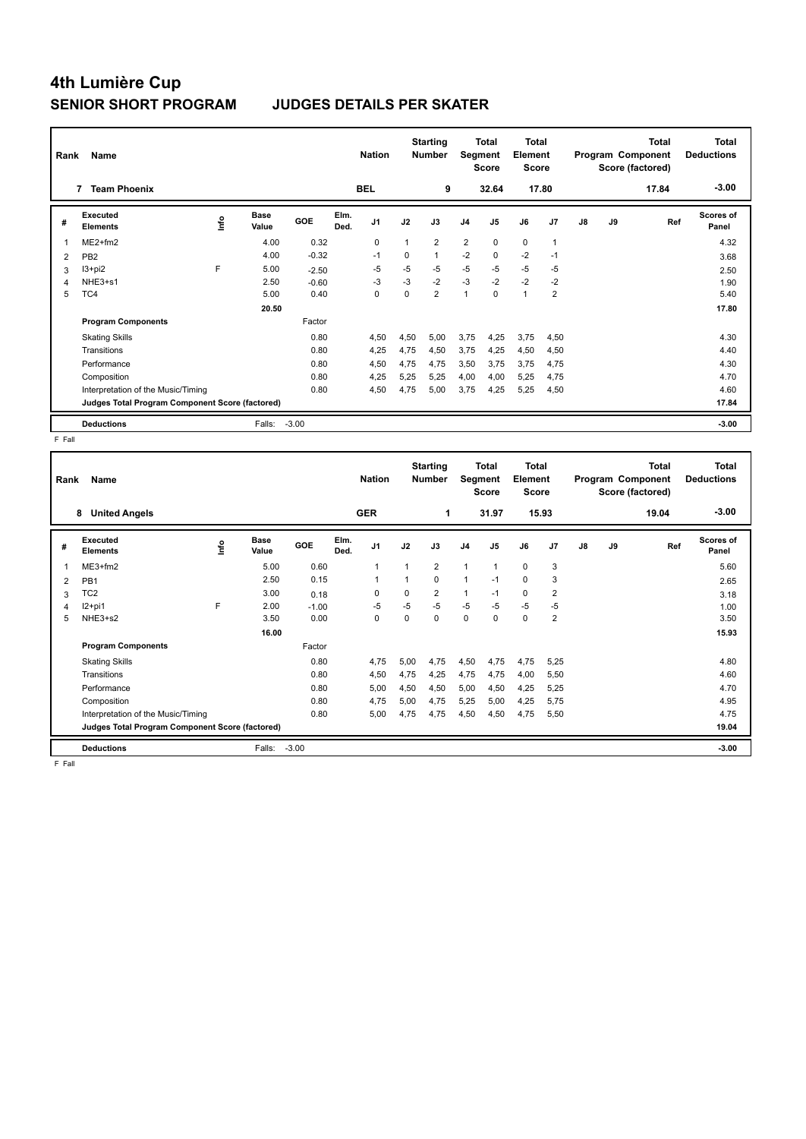## **4th Lumière Cup SENIOR SHORT PROGRAM JUDGES DETAILS PER SKATER**

| Rank | Name                                            |      |               | <b>Nation</b> |              | <b>Starting</b><br><b>Number</b> | Segment     | Total<br><b>Score</b> | <b>Total</b><br>Element<br><b>Score</b> |                |              |                | <b>Total</b><br>Program Component<br>Score (factored) | <b>Total</b><br><b>Deductions</b> |       |                    |
|------|-------------------------------------------------|------|---------------|---------------|--------------|----------------------------------|-------------|-----------------------|-----------------------------------------|----------------|--------------|----------------|-------------------------------------------------------|-----------------------------------|-------|--------------------|
|      | <b>Team Phoenix</b>                             |      |               |               |              | <b>BEL</b>                       |             | 9                     |                                         | 32.64          |              | 17.80          |                                                       |                                   | 17.84 | $-3.00$            |
| #    | Executed<br><b>Elements</b>                     | ١nf٥ | Base<br>Value | <b>GOE</b>    | Elm.<br>Ded. | J1                               | J2          | J3                    | J <sub>4</sub>                          | J <sub>5</sub> | J6           | J <sub>7</sub> | $\mathsf{J}8$                                         | J9                                | Ref   | Scores of<br>Panel |
| 1    | $ME2+fm2$                                       |      | 4.00          | 0.32          |              | 0                                |             | $\overline{2}$        | $\overline{2}$                          | $\mathbf 0$    | $\mathbf 0$  | $\overline{1}$ |                                                       |                                   |       | 4.32               |
| 2    | PB <sub>2</sub>                                 |      | 4.00          | $-0.32$       |              | $-1$                             | $\mathbf 0$ | $\mathbf{1}$          | $-2$                                    | 0              | $-2$         | $-1$           |                                                       |                                   |       | 3.68               |
| 3    | $13+pi2$                                        | F    | 5.00          | $-2.50$       |              | -5                               | $-5$        | $-5$                  | $-5$                                    | $-5$           | $-5$         | $-5$           |                                                       |                                   |       | 2.50               |
| 4    | $NHE3+s1$                                       |      | 2.50          | $-0.60$       |              | $-3$                             | $-3$        | $-2$                  | $-3$                                    | $-2$           | $-2$         | $-2$           |                                                       |                                   |       | 1.90               |
| 5    | TC4                                             |      | 5.00          | 0.40          |              | 0                                | 0           | $\overline{2}$        | 1                                       | 0              | $\mathbf{1}$ | 2              |                                                       |                                   |       | 5.40               |
|      |                                                 |      | 20.50         |               |              |                                  |             |                       |                                         |                |              |                |                                                       |                                   |       | 17.80              |
|      | <b>Program Components</b>                       |      |               | Factor        |              |                                  |             |                       |                                         |                |              |                |                                                       |                                   |       |                    |
|      | <b>Skating Skills</b>                           |      |               | 0.80          |              | 4,50                             | 4,50        | 5,00                  | 3,75                                    | 4,25           | 3,75         | 4,50           |                                                       |                                   |       | 4.30               |
|      | Transitions                                     |      |               | 0.80          |              | 4,25                             | 4,75        | 4,50                  | 3,75                                    | 4,25           | 4,50         | 4,50           |                                                       |                                   |       | 4.40               |
|      | Performance                                     |      |               | 0.80          |              | 4,50                             | 4,75        | 4,75                  | 3,50                                    | 3,75           | 3,75         | 4,75           |                                                       |                                   |       | 4.30               |
|      | Composition                                     |      |               | 0.80          |              | 4,25                             | 5,25        | 5,25                  | 4,00                                    | 4,00           | 5,25         | 4,75           |                                                       |                                   |       | 4.70               |
|      | Interpretation of the Music/Timing              |      |               | 0.80          |              | 4,50                             | 4,75        | 5,00                  | 3,75                                    | 4,25           | 5,25         | 4,50           |                                                       |                                   |       | 4.60               |
|      | Judges Total Program Component Score (factored) |      |               |               |              |                                  |             |                       |                                         |                |              |                |                                                       |                                   |       | 17.84              |
|      | <b>Deductions</b>                               |      | Falls:        | $-3.00$       |              |                                  |             |                       |                                         |                |              |                |                                                       |                                   |       | $-3.00$            |

 $F$  Fall

| Rank | Name                                            |             | <b>Nation</b>        |         | <b>Starting</b><br><b>Number</b> | Segment        | <b>Total</b><br><b>Score</b> | <b>Total</b><br>Element<br><b>Score</b> |                |              |             | <b>Total</b><br>Program Component<br>Score (factored) | <b>Total</b><br><b>Deductions</b> |    |       |                           |
|------|-------------------------------------------------|-------------|----------------------|---------|----------------------------------|----------------|------------------------------|-----------------------------------------|----------------|--------------|-------------|-------------------------------------------------------|-----------------------------------|----|-------|---------------------------|
|      | <b>United Angels</b><br>8                       |             |                      |         |                                  | <b>GER</b>     |                              | 1                                       |                | 31.97        |             | 15.93                                                 |                                   |    | 19.04 | $-3.00$                   |
| #    | <b>Executed</b><br><b>Elements</b>              | <b>Info</b> | <b>Base</b><br>Value | GOE     | Elm.<br>Ded.                     | J <sub>1</sub> | J2                           | J3                                      | J <sub>4</sub> | J5           | J6          | J7                                                    | J8                                | J9 | Ref   | <b>Scores of</b><br>Panel |
| -1   | ME3+fm2                                         |             | 5.00                 | 0.60    |                                  | $\mathbf{1}$   | 1                            | $\overline{2}$                          | $\mathbf{1}$   | $\mathbf{1}$ | $\mathbf 0$ | 3                                                     |                                   |    |       | 5.60                      |
| 2    | PB <sub>1</sub>                                 |             | 2.50                 | 0.15    |                                  | $\overline{1}$ | $\mathbf{1}$                 | 0                                       | $\mathbf{1}$   | $-1$         | 0           | 3                                                     |                                   |    |       | 2.65                      |
| 3    | TC <sub>2</sub>                                 |             | 3.00                 | 0.18    |                                  | $\Omega$       | $\Omega$                     | $\overline{2}$                          | 1              | $-1$         | $\mathbf 0$ | $\overline{2}$                                        |                                   |    |       | 3.18                      |
| 4    | $12+pi1$                                        | F           | 2.00                 | $-1.00$ |                                  | $-5$           | $-5$                         | $-5$                                    | $-5$           | $-5$         | $-5$        | $-5$                                                  |                                   |    |       | 1.00                      |
| 5    | NHE3+s2                                         |             | 3.50                 | 0.00    |                                  | 0              | $\Omega$                     | 0                                       | $\mathbf 0$    | $\mathbf 0$  | $\Omega$    | $\overline{2}$                                        |                                   |    |       | 3.50                      |
|      |                                                 |             | 16.00                |         |                                  |                |                              |                                         |                |              |             |                                                       |                                   |    |       | 15.93                     |
|      | <b>Program Components</b>                       |             |                      | Factor  |                                  |                |                              |                                         |                |              |             |                                                       |                                   |    |       |                           |
|      | <b>Skating Skills</b>                           |             |                      | 0.80    |                                  | 4.75           | 5.00                         | 4.75                                    | 4,50           | 4,75         | 4,75        | 5,25                                                  |                                   |    |       | 4.80                      |
|      | Transitions                                     |             |                      | 0.80    |                                  | 4,50           | 4,75                         | 4,25                                    | 4,75           | 4,75         | 4,00        | 5,50                                                  |                                   |    |       | 4.60                      |
|      | Performance                                     |             |                      | 0.80    |                                  | 5,00           | 4,50                         | 4,50                                    | 5,00           | 4,50         | 4,25        | 5,25                                                  |                                   |    |       | 4.70                      |
|      | Composition                                     |             |                      | 0.80    |                                  | 4.75           | 5,00                         | 4,75                                    | 5,25           | 5,00         | 4,25        | 5.75                                                  |                                   |    |       | 4.95                      |
|      | Interpretation of the Music/Timing              |             |                      | 0.80    |                                  | 5,00           | 4,75                         | 4,75                                    | 4,50           | 4,50         | 4,75        | 5,50                                                  |                                   |    |       | 4.75                      |
|      | Judges Total Program Component Score (factored) |             |                      |         |                                  |                |                              |                                         |                |              |             |                                                       |                                   |    |       | 19.04                     |
|      | <b>Deductions</b>                               |             | Falls:               | $-3.00$ |                                  |                |                              |                                         |                |              |             |                                                       |                                   |    |       | $-3.00$                   |

F Fall